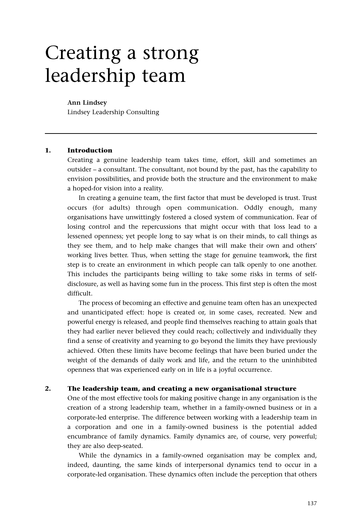# Creating a strong leadership team

## **Ann Lindsey**

Lindsey Leadership Consulting

## **1. Introduction**

Creating a genuine leadership team takes time, effort, skill and sometimes an outsider – a consultant. The consultant, not bound by the past, has the capability to envision possibilities, and provide both the structure and the environment to make a hoped-for vision into a reality.

In creating a genuine team, the first factor that must be developed is trust. Trust occurs (for adults) through open communication. Oddly enough, many organisations have unwittingly fostered a closed system of communication. Fear of losing control and the repercussions that might occur with that loss lead to a lessened openness; yet people long to say what is on their minds, to call things as they see them, and to help make changes that will make their own and others' working lives better. Thus, when setting the stage for genuine teamwork, the first step is to create an environment in which people can talk openly to one another. This includes the participants being willing to take some risks in terms of selfdisclosure, as well as having some fun in the process. This first step is often the most difficult.

The process of becoming an effective and genuine team often has an unexpected and unanticipated effect: hope is created or, in some cases, recreated. New and powerful energy is released, and people find themselves reaching to attain goals that they had earlier never believed they could reach; collectively and individually they find a sense of creativity and yearning to go beyond the limits they have previously achieved. Often these limits have become feelings that have been buried under the weight of the demands of daily work and life, and the return to the uninhibited openness that was experienced early on in life is a joyful occurrence.

## **2. The leadership team, and creating a new organisational structure**

One of the most effective tools for making positive change in any organisation is the creation of a strong leadership team, whether in a family-owned business or in a corporate-led enterprise. The difference between working with a leadership team in a corporation and one in a family-owned business is the potential added encumbrance of family dynamics. Family dynamics are, of course, very powerful; they are also deep-seated.

While the dynamics in a family-owned organisation may be complex and, indeed, daunting, the same kinds of interpersonal dynamics tend to occur in a corporate-led organisation. These dynamics often include the perception that others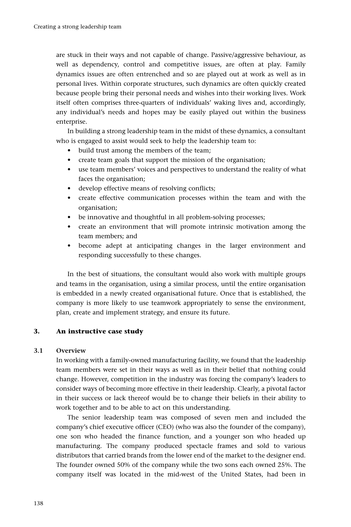are stuck in their ways and not capable of change. Passive/aggressive behaviour, as well as dependency, control and competitive issues, are often at play. Family dynamics issues are often entrenched and so are played out at work as well as in personal lives. Within corporate structures, such dynamics are often quickly created because people bring their personal needs and wishes into their working lives. Work itself often comprises three-quarters of individuals' waking lives and, accordingly, any individual's needs and hopes may be easily played out within the business enterprise.

In building a strong leadership team in the midst of these dynamics, a consultant who is engaged to assist would seek to help the leadership team to:

- build trust among the members of the team;
- create team goals that support the mission of the organisation;
- use team members' voices and perspectives to understand the reality of what faces the organisation;
- develop effective means of resolving conflicts;
- create effective communication processes within the team and with the organisation;
- be innovative and thoughtful in all problem-solving processes;
- create an environment that will promote intrinsic motivation among the team members; and
- become adept at anticipating changes in the larger environment and responding successfully to these changes.

In the best of situations, the consultant would also work with multiple groups and teams in the organisation, using a similar process, until the entire organisation is embedded in a newly created organisational future. Once that is established, the company is more likely to use teamwork appropriately to sense the environment, plan, create and implement strategy, and ensure its future.

# **3. An instructive case study**

## **3.1 Overview**

In working with a family-owned manufacturing facility, we found that the leadership team members were set in their ways as well as in their belief that nothing could change. However, competition in the industry was forcing the company's leaders to consider ways of becoming more effective in their leadership. Clearly, a pivotal factor in their success or lack thereof would be to change their beliefs in their ability to work together and to be able to act on this understanding.

The senior leadership team was composed of seven men and included the company's chief executive officer (CEO) (who was also the founder of the company), one son who headed the finance function, and a younger son who headed up manufacturing. The company produced spectacle frames and sold to various distributors that carried brands from the lower end of the market to the designer end. The founder owned 50% of the company while the two sons each owned 25%. The company itself was located in the mid-west of the United States, had been in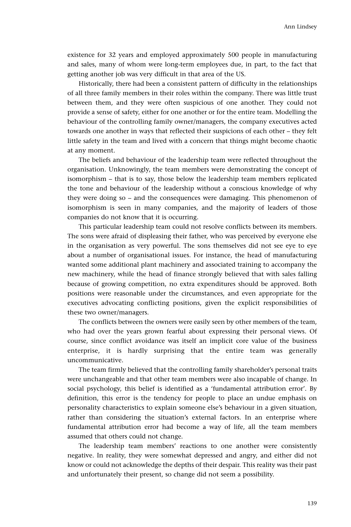Ann Lindsey

existence for 32 years and employed approximately 500 people in manufacturing and sales, many of whom were long-term employees due, in part, to the fact that getting another job was very difficult in that area of the US.

Historically, there had been a consistent pattern of difficulty in the relationships of all three family members in their roles within the company. There was little trust between them, and they were often suspicious of one another. They could not provide a sense of safety, either for one another or for the entire team. Modelling the behaviour of the controlling family owner/managers, the company executives acted towards one another in ways that reflected their suspicions of each other – they felt little safety in the team and lived with a concern that things might become chaotic at any moment.

The beliefs and behaviour of the leadership team were reflected throughout the organisation. Unknowingly, the team members were demonstrating the concept of isomorphism – that is to say, those below the leadership team members replicated the tone and behaviour of the leadership without a conscious knowledge of why they were doing so – and the consequences were damaging. This phenomenon of isomorphism is seen in many companies, and the majority of leaders of those companies do not know that it is occurring.

This particular leadership team could not resolve conflicts between its members. The sons were afraid of displeasing their father, who was perceived by everyone else in the organisation as very powerful. The sons themselves did not see eye to eye about a number of organisational issues. For instance, the head of manufacturing wanted some additional plant machinery and associated training to accompany the new machinery, while the head of finance strongly believed that with sales falling because of growing competition, no extra expenditures should be approved. Both positions were reasonable under the circumstances, and even appropriate for the executives advocating conflicting positions, given the explicit responsibilities of these two owner/managers.

The conflicts between the owners were easily seen by other members of the team, who had over the years grown fearful about expressing their personal views. Of course, since conflict avoidance was itself an implicit core value of the business enterprise, it is hardly surprising that the entire team was generally uncommunicative.

The team firmly believed that the controlling family shareholder's personal traits were unchangeable and that other team members were also incapable of change. In social psychology, this belief is identified as a 'fundamental attribution error'. By definition, this error is the tendency for people to place an undue emphasis on personality characteristics to explain someone else's behaviour in a given situation, rather than considering the situation's external factors. In an enterprise where fundamental attribution error had become a way of life, all the team members assumed that others could not change.

The leadership team members' reactions to one another were consistently negative. In reality, they were somewhat depressed and angry, and either did not know or could not acknowledge the depths of their despair. This reality was their past and unfortunately their present, so change did not seem a possibility.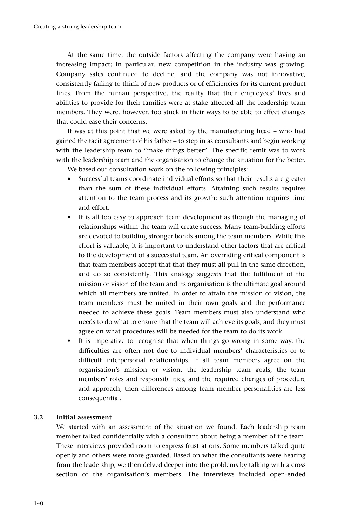At the same time, the outside factors affecting the company were having an increasing impact; in particular, new competition in the industry was growing. Company sales continued to decline, and the company was not innovative, consistently failing to think of new products or of efficiencies for its current product lines. From the human perspective, the reality that their employees' lives and abilities to provide for their families were at stake affected all the leadership team members. They were, however, too stuck in their ways to be able to effect changes that could ease their concerns.

It was at this point that we were asked by the manufacturing head – who had gained the tacit agreement of his father – to step in as consultants and begin working with the leadership team to "make things better". The specific remit was to work with the leadership team and the organisation to change the situation for the better.

We based our consultation work on the following principles:

- Successful teams coordinate individual efforts so that their results are greater than the sum of these individual efforts. Attaining such results requires attention to the team process and its growth; such attention requires time and effort.
- It is all too easy to approach team development as though the managing of relationships within the team will create success. Many team-building efforts are devoted to building stronger bonds among the team members. While this effort is valuable, it is important to understand other factors that are critical to the development of a successful team. An overriding critical component is that team members accept that that they must all pull in the same direction, and do so consistently. This analogy suggests that the fulfilment of the mission or vision of the team and its organisation is the ultimate goal around which all members are united. In order to attain the mission or vision, the team members must be united in their own goals and the performance needed to achieve these goals. Team members must also understand who needs to do what to ensure that the team will achieve its goals, and they must agree on what procedures will be needed for the team to do its work.
- It is imperative to recognise that when things go wrong in some way, the difficulties are often not due to individual members' characteristics or to difficult interpersonal relationships. If all team members agree on the organisation's mission or vision, the leadership team goals, the team members' roles and responsibilities, and the required changes of procedure and approach, then differences among team member personalities are less consequential.

## **3.2 Initial assessment**

We started with an assessment of the situation we found. Each leadership team member talked confidentially with a consultant about being a member of the team. These interviews provided room to express frustrations. Some members talked quite openly and others were more guarded. Based on what the consultants were hearing from the leadership, we then delved deeper into the problems by talking with a cross section of the organisation's members. The interviews included open-ended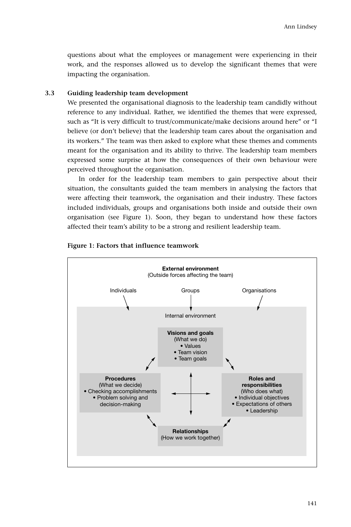questions about what the employees or management were experiencing in their work, and the responses allowed us to develop the significant themes that were impacting the organisation.

## **3.3 Guiding leadership team development**

We presented the organisational diagnosis to the leadership team candidly without reference to any individual. Rather, we identified the themes that were expressed, such as "It is very difficult to trust/communicate/make decisions around here" or "I believe (or don't believe) that the leadership team cares about the organisation and its workers." The team was then asked to explore what these themes and comments meant for the organisation and its ability to thrive. The leadership team members expressed some surprise at how the consequences of their own behaviour were perceived throughout the organisation.

In order for the leadership team members to gain perspective about their situation, the consultants guided the team members in analysing the factors that were affecting their teamwork, the organisation and their industry. These factors included individuals, groups and organisations both inside and outside their own organisation (see Figure 1). Soon, they began to understand how these factors affected their team's ability to be a strong and resilient leadership team.



#### **Figure 1: Factors that influence teamwork**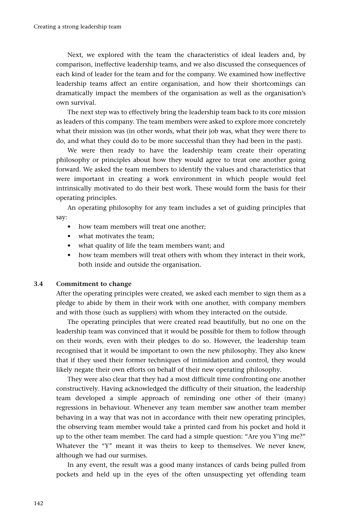Next, we explored with the team the characteristics of ideal leaders and, by comparison, ineffective leadership teams, and we also discussed the consequences of each kind of leader for the team and for the company. We examined how ineffective leadership teams affect an entire organisation, and how their shortcomings can dramatically impact the members of the organisation as well as the organisation's own survival.

The next step was to effectively bring the leadership team back to its core mission as leaders of this company. The team members were asked to explore more concretely what their mission was (in other words, what their job was, what they were there to do, and what they could do to be more successful than they had been in the past).

We were then ready to have the leadership team create their operating philosophy or principles about how they would agree to treat one another going forward. We asked the team members to identify the values and characteristics that were important in creating a work environment in which people would feel intrinsically motivated to do their best work. These would form the basis for their operating principles.

An operating philosophy for any team includes a set of guiding principles that say:

- how team members will treat one another:
- what motivates the team;
- what quality of life the team members want; and
- how team members will treat others with whom they interact in their work, both inside and outside the organisation.

## **3.4 Commitment to change**

After the operating principles were created, we asked each member to sign them as a pledge to abide by them in their work with one another, with company members and with those (such as suppliers) with whom they interacted on the outside.

The operating principles that were created read beautifully, but no one on the leadership team was convinced that it would be possible for them to follow through on their words, even with their pledges to do so. However, the leadership team recognised that it would be important to own the new philosophy. They also knew that if they used their former techniques of intimidation and control, they would likely negate their own efforts on behalf of their new operating philosophy.

They were also clear that they had a most difficult time confronting one another constructively. Having acknowledged the difficulty of their situation, the leadership team developed a simple approach of reminding one other of their (many) regressions in behaviour. Whenever any team member saw another team member behaving in a way that was not in accordance with their new operating principles, the observing team member would take a printed card from his pocket and hold it up to the other team member. The card had a simple question: "Are you Y'ing me?" Whatever the "Y" meant it was theirs to keep to themselves. We never knew, although we had our surmises.

In any event, the result was a good many instances of cards being pulled from pockets and held up in the eyes of the often unsuspecting yet offending team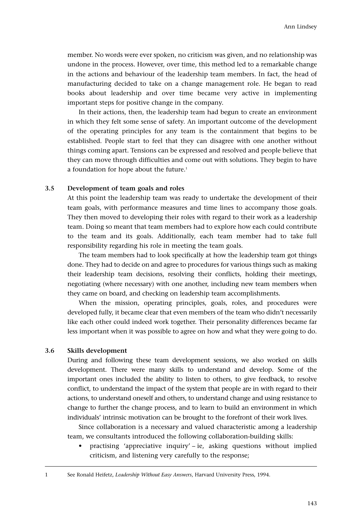member. No words were ever spoken, no criticism was given, and no relationship was undone in the process. However, over time, this method led to a remarkable change in the actions and behaviour of the leadership team members. In fact, the head of manufacturing decided to take on a change management role. He began to read books about leadership and over time became very active in implementing important steps for positive change in the company.

In their actions, then, the leadership team had begun to create an environment in which they felt some sense of safety. An important outcome of the development of the operating principles for any team is the containment that begins to be established. People start to feel that they can disagree with one another without things coming apart. Tensions can be expressed and resolved and people believe that they can move through difficulties and come out with solutions. They begin to have a foundation for hope about the future.<sup>1</sup>

## **3.5 Development of team goals and roles**

At this point the leadership team was ready to undertake the development of their team goals, with performance measures and time lines to accompany those goals. They then moved to developing their roles with regard to their work as a leadership team. Doing so meant that team members had to explore how each could contribute to the team and its goals. Additionally, each team member had to take full responsibility regarding his role in meeting the team goals.

The team members had to look specifically at how the leadership team got things done. They had to decide on and agree to procedures for various things such as making their leadership team decisions, resolving their conflicts, holding their meetings, negotiating (where necessary) with one another, including new team members when they came on board, and checking on leadership team accomplishments.

When the mission, operating principles, goals, roles, and procedures were developed fully, it became clear that even members of the team who didn't necessarily like each other could indeed work together. Their personality differences became far less important when it was possible to agree on how and what they were going to do.

## **3.6 Skills development**

During and following these team development sessions, we also worked on skills development. There were many skills to understand and develop. Some of the important ones included the ability to listen to others, to give feedback, to resolve conflict, to understand the impact of the system that people are in with regard to their actions, to understand oneself and others, to understand change and using resistance to change to further the change process, and to learn to build an environment in which individuals' intrinsic motivation can be brought to the forefront of their work lives.

Since collaboration is a necessary and valued characteristic among a leadership team, we consultants introduced the following collaboration-building skills:

• practising 'appreciative inquiry' – ie, asking questions without implied criticism, and listening very carefully to the response;

<sup>1</sup> See Ronald Heifetz, *Leadership Without Easy Answers*, Harvard University Press, 1994.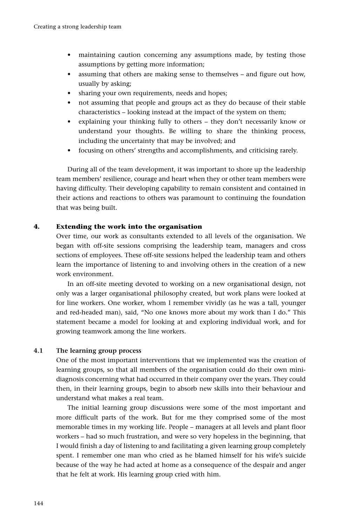- maintaining caution concerning any assumptions made, by testing those assumptions by getting more information;
- assuming that others are making sense to themselves and figure out how, usually by asking;
- sharing your own requirements, needs and hopes;
- not assuming that people and groups act as they do because of their stable characteristics – looking instead at the impact of the system on them;
- explaining your thinking fully to others they don't necessarily know or understand your thoughts. Be willing to share the thinking process, including the uncertainty that may be involved; and
- focusing on others' strengths and accomplishments, and criticising rarely.

During all of the team development, it was important to shore up the leadership team members' resilience, courage and heart when they or other team members were having difficulty. Their developing capability to remain consistent and contained in their actions and reactions to others was paramount to continuing the foundation that was being built.

## **4. Extending the work into the organisation**

Over time, our work as consultants extended to all levels of the organisation. We began with off-site sessions comprising the leadership team, managers and cross sections of employees. These off-site sessions helped the leadership team and others learn the importance of listening to and involving others in the creation of a new work environment.

In an off-site meeting devoted to working on a new organisational design, not only was a larger organisational philosophy created, but work plans were looked at for line workers. One worker, whom I remember vividly (as he was a tall, younger and red-headed man), said, "No one knows more about my work than I do." This statement became a model for looking at and exploring individual work, and for growing teamwork among the line workers.

## **4.1 The learning group process**

One of the most important interventions that we implemented was the creation of learning groups, so that all members of the organisation could do their own minidiagnosis concerning what had occurred in their company over the years. They could then, in their learning groups, begin to absorb new skills into their behaviour and understand what makes a real team.

The initial learning group discussions were some of the most important and more difficult parts of the work. But for me they comprised some of the most memorable times in my working life. People – managers at all levels and plant floor workers – had so much frustration, and were so very hopeless in the beginning, that I would finish a day of listening to and facilitating a given learning group completely spent. I remember one man who cried as he blamed himself for his wife's suicide because of the way he had acted at home as a consequence of the despair and anger that he felt at work. His learning group cried with him.